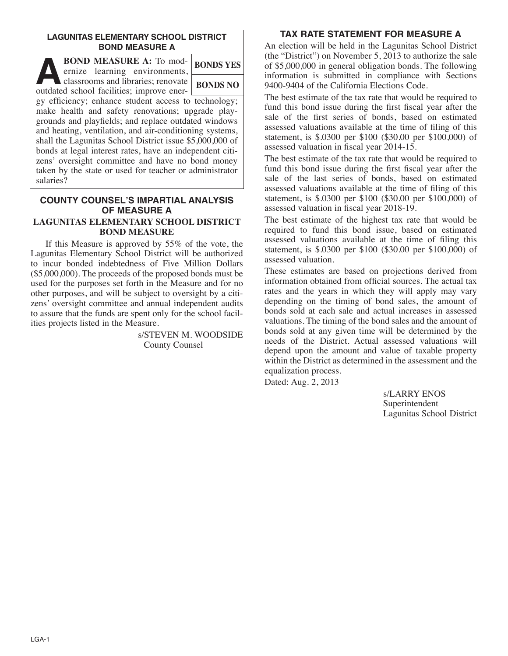## **LAGUNITAS ELEMENTARY SCHOOL DISTRICT BOND MEASURE A**

| <b>BOND MEASURE A: To mod-</b><br>ernize learning environments,                                                                                                                                                                                                                          | <b>BONDS YES</b> |
|------------------------------------------------------------------------------------------------------------------------------------------------------------------------------------------------------------------------------------------------------------------------------------------|------------------|
| classrooms and libraries; renovate<br>outdated school facilities; improve ener-                                                                                                                                                                                                          | <b>BONDS NO</b>  |
| gy efficiency; enhance student access to technology;<br>make health and safety renovations; upgrade play-<br>grounds and playfields; and replace outdated windows<br>and heating, ventilation, and air-conditioning systems,<br>shall the Lagunitas School District issue \$5,000,000 of |                  |
| bonds at legal interest rates, have an independent citi-<br>zens' oversight committee and have no bond money<br>taken by the state or used for teacher or administrator                                                                                                                  |                  |

#### **COUNTY COUNSEL'S IMPARTIAL ANALYSIS OF MEASURE A LAGUNITAS ELEMENTARY SCHOOL DISTRICT BOND MEASURE**

salaries?

 If this Measure is approved by 55% of the vote, the Lagunitas Elementary School District will be authorized to incur bonded indebtedness of Five Million Dollars (\$5,000,000). The proceeds of the proposed bonds must be used for the purposes set forth in the Measure and for no other purposes, and will be subject to oversight by a citizens' oversight committee and annual independent audits to assure that the funds are spent only for the school facilities projects listed in the Measure.

> s/STEVEN M. WOODSIDE County Counsel

## **TAX RATE STATEMENT FOR MEASURE A**

An election will be held in the Lagunitas School District (the "District") on November 5, 2013 to authorize the sale of \$5,000,000 in general obligation bonds. The following information is submitted in compliance with Sections 9400-9404 of the California Elections Code.

The best estimate of the tax rate that would be required to fund this bond issue during the first fiscal year after the sale of the first series of bonds, based on estimated assessed valuations available at the time of filing of this statement, is \$.0300 per \$100 (\$30.00 per \$100,000) of assessed valuation in fiscal year 2014-15.

The best estimate of the tax rate that would be required to fund this bond issue during the first fiscal year after the sale of the last series of bonds, based on estimated assessed valuations available at the time of filing of this statement, is \$.0300 per \$100 (\$30.00 per \$100,000) of assessed valuation in fiscal year 2018-19.

The best estimate of the highest tax rate that would be required to fund this bond issue, based on estimated assessed valuations available at the time of filing this statement, is \$.0300 per \$100 (\$30.00 per \$100,000) of assessed valuation.

These estimates are based on projections derived from information obtained from official sources. The actual tax rates and the years in which they will apply may vary depending on the timing of bond sales, the amount of bonds sold at each sale and actual increases in assessed valuations. The timing of the bond sales and the amount of bonds sold at any given time will be determined by the needs of the District. Actual assessed valuations will depend upon the amount and value of taxable property within the District as determined in the assessment and the equalization process.

Dated: Aug. 2, 2013

s/LARRY ENOS Superintendent Lagunitas School District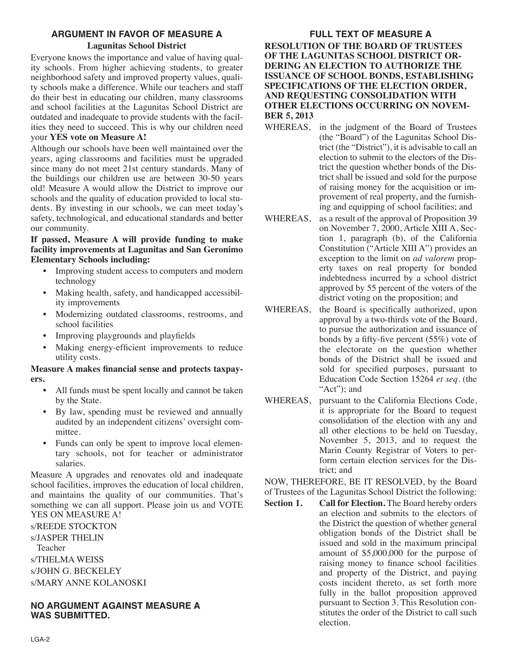# **ARGUMENT IN FAVOR OF MEASURE A**

## **Lagunitas School District**

Everyone knows the importance and value of having quality schools. From higher achieving students, to greater neighborhood safety and improved property values, quality schools make a difference. While our teachers and staff do their best in educating our children, many classrooms and school facilities at the Lagunitas School District are outdated and inadequate to provide students with the facilities they need to succeed. This is why our children need your **YES vote on Measure A!**

Although our schools have been well maintained over the years, aging classrooms and facilities must be upgraded since many do not meet 21st century standards. Many of the buildings our children use are between 30-50 years old! Measure A would allow the District to improve our schools and the quality of education provided to local students. By investing in our schools, we can meet today's safety, technological, and educational standards and better our community.

## **If passed, Measure A will provide funding to make facility improvements at Lagunitas and San Geronimo Elementary Schools including:**

- Improving student access to computers and modern technology
- Making health, safety, and handicapped accessibility improvements
- Modernizing outdated classrooms, restrooms, and school facilities
- Improving playgrounds and playfields
- Making energy-efficient improvements to reduce utility costs.

## **Measure A makes financial sense and protects taxpayers.**

- All funds must be spent locally and cannot be taken by the State.
- By law, spending must be reviewed and annually audited by an independent citizens' oversight committee.
- Funds can only be spent to improve local elementary schools, not for teacher or administrator salaries.

Measure A upgrades and renovates old and inadequate school facilities, improves the education of local children, and maintains the quality of our communities. That's something we can all support. Please join us and VOTE YES ON MEASURE A!

s/REEDE STOCKTON

s/JASPER THELIN Teacher s/THELMA WEISS s/JOHN G. BECKELEY s/MARY ANNE KOLANOSKI

## **NO ARGUMENT AGAINST MEASURE A WAS SUBMITTED.**

# **FULL TEXT OF MEASURE A**

**RESOLUTION OF THE BOARD OF TRUSTEES OF THE LAGUNITAS SCHOOL DISTRICT OR-DERING AN ELECTION TO AUTHORIZE THE ISSUANCE OF SCHOOL BONDS, ESTABLISHING SPECIFICATIONS OF THE ELECTION ORDER, AND REQUESTING CONSOLIDATION WITH OTHER ELECTIONS OCCURRING ON NOVEM-BER 5, 2013**

- WHEREAS, in the judgment of the Board of Trustees (the "Board") of the Lagunitas School District (the "District"), it is advisable to call an election to submit to the electors of the District the question whether bonds of the District shall be issued and sold for the purpose of raising money for the acquisition or improvement of real property, and the furnishing and equipping of school facilities; and
- WHEREAS, as a result of the approval of Proposition 39 on November 7, 2000, Article XIII A, Section 1, paragraph (b), of the California Constitution ("Article XIII A") provides an exception to the limit on *ad valorem* property taxes on real property for bonded indebtedness incurred by a school district approved by 55 percent of the voters of the district voting on the proposition; and
- WHEREAS, the Board is specifically authorized, upon approval by a two-thirds vote of the Board, to pursue the authorization and issuance of bonds by a fifty-five percent (55%) vote of the electorate on the question whether bonds of the District shall be issued and sold for specified purposes, pursuant to Education Code Section 15264 *et seq.* (the "Act": and
- WHEREAS, pursuant to the California Elections Code, it is appropriate for the Board to request consolidation of the election with any and all other elections to be held on Tuesday, November 5, 2013, and to request the Marin County Registrar of Voters to perform certain election services for the District; and

NOW, THEREFORE, BE IT RESOLVED, by the Board of Trustees of the Lagunitas School District the following:

**Section 1. Call for Election.** The Board hereby orders an election and submits to the electors of the District the question of whether general obligation bonds of the District shall be issued and sold in the maximum principal amount of \$5,000,000 for the purpose of raising money to finance school facilities and property of the District, and paying costs incident thereto, as set forth more fully in the ballot proposition approved pursuant to Section 3. This Resolution constitutes the order of the District to call such election.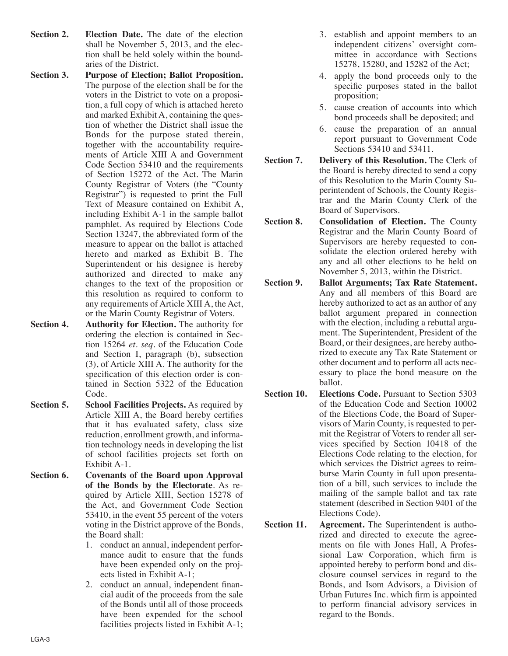- **Section 2. Election Date.** The date of the election shall be November 5, 2013, and the election shall be held solely within the boundaries of the District.
- **Section 3. Purpose of Election; Ballot Proposition.** The purpose of the election shall be for the voters in the District to vote on a proposition, a full copy of which is attached hereto and marked Exhibit A, containing the question of whether the District shall issue the Bonds for the purpose stated therein, together with the accountability requirements of Article XIII A and Government Code Section 53410 and the requirements of Section 15272 of the Act. The Marin County Registrar of Voters (the "County Registrar") is requested to print the Full Text of Measure contained on Exhibit A, including Exhibit A-1 in the sample ballot pamphlet. As required by Elections Code Section 13247, the abbreviated form of the measure to appear on the ballot is attached hereto and marked as Exhibit B. The Superintendent or his designee is hereby authorized and directed to make any changes to the text of the proposition or this resolution as required to conform to any requirements of Article XIII A, the Act, or the Marin County Registrar of Voters.
- **Section 4. Authority for Election.** The authority for ordering the election is contained in Section 15264 *et. seq*. of the Education Code and Section I, paragraph (b), subsection (3), of Article XIII A. The authority for the specification of this election order is contained in Section 5322 of the Education Code.
- **Section 5. School Facilities Projects.** As required by Article XIII A, the Board hereby certifies that it has evaluated safety, class size reduction, enrollment growth, and information technology needs in developing the list of school facilities projects set forth on Exhibit A-1.
- **Section 6. Covenants of the Board upon Approval of the Bonds by the Electorate**. As required by Article XIII, Section 15278 of the Act, and Government Code Section 53410, in the event 55 percent of the voters voting in the District approve of the Bonds, the Board shall:
	- 1. conduct an annual, independent performance audit to ensure that the funds have been expended only on the projects listed in Exhibit A-1;
	- 2. conduct an annual, independent financial audit of the proceeds from the sale of the Bonds until all of those proceeds have been expended for the school facilities projects listed in Exhibit A-1;
- 3. establish and appoint members to an independent citizens' oversight committee in accordance with Sections 15278, 15280, and 15282 of the Act;
- 4. apply the bond proceeds only to the specific purposes stated in the ballot proposition;
- 5. cause creation of accounts into which bond proceeds shall be deposited; and
- 6. cause the preparation of an annual report pursuant to Government Code Sections 53410 and 53411.
- **Section 7. Delivery of this Resolution.** The Clerk of the Board is hereby directed to send a copy of this Resolution to the Marin County Superintendent of Schools, the County Registrar and the Marin County Clerk of the Board of Supervisors.
- **Section 8. Consolidation of Election.** The County Registrar and the Marin County Board of Supervisors are hereby requested to consolidate the election ordered hereby with any and all other elections to be held on November 5, 2013, within the District.
- **Section 9. Ballot Arguments; Tax Rate Statement.** Any and all members of this Board are hereby authorized to act as an author of any ballot argument prepared in connection with the election, including a rebuttal argument. The Superintendent, President of the Board, or their designees, are hereby authorized to execute any Tax Rate Statement or other document and to perform all acts necessary to place the bond measure on the ballot.
- **Section 10. Elections Code.** Pursuant to Section 5303 of the Education Code and Section 10002 of the Elections Code, the Board of Supervisors of Marin County, is requested to permit the Registrar of Voters to render all services specified by Section 10418 of the Elections Code relating to the election, for which services the District agrees to reimburse Marin County in full upon presentation of a bill, such services to include the mailing of the sample ballot and tax rate statement (described in Section 9401 of the Elections Code).
- **Section 11. Agreement.** The Superintendent is authorized and directed to execute the agreements on file with Jones Hall, A Professional Law Corporation, which firm is appointed hereby to perform bond and disclosure counsel services in regard to the Bonds, and Isom Advisors, a Division of Urban Futures Inc. which firm is appointed to perform financial advisory services in regard to the Bonds.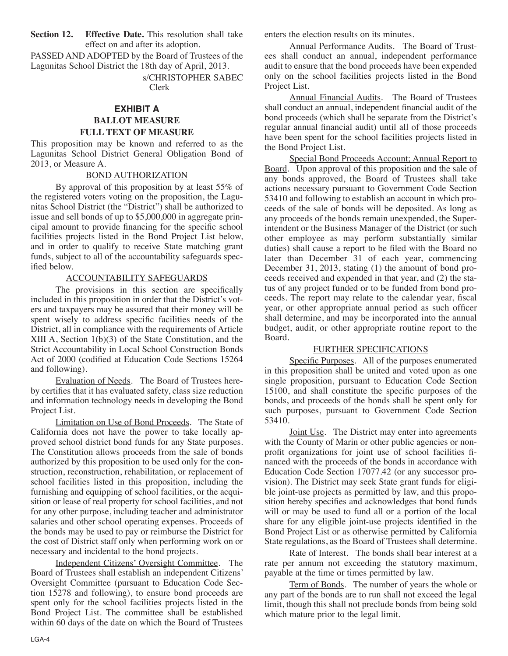**Section 12. Effective Date.** This resolution shall take effect on and after its adoption.

PASSED AND ADOPTED by the Board of Trustees of the Lagunitas School District the 18th day of April, 2013.

> s/CHRISTOPHER SABEC Clerk

# **EXHIBIT A BALLOT MEASURE FULL TEXT OF MEASURE**

This proposition may be known and referred to as the Lagunitas School District General Obligation Bond of 2013, or Measure A.

## BOND AUTHORIZATION

 By approval of this proposition by at least 55% of the registered voters voting on the proposition, the Lagunitas School District (the "District") shall be authorized to issue and sell bonds of up to \$5,000,000 in aggregate principal amount to provide financing for the specific school facilities projects listed in the Bond Project List below, and in order to qualify to receive State matching grant funds, subject to all of the accountability safeguards specified below.

## ACCOUNTABILITY SAFEGUARDS

 The provisions in this section are specifically included in this proposition in order that the District's voters and taxpayers may be assured that their money will be spent wisely to address specific facilities needs of the District, all in compliance with the requirements of Article XIII A, Section 1(b)(3) of the State Constitution, and the Strict Accountability in Local School Construction Bonds Act of 2000 (codified at Education Code Sections 15264 and following).

 Evaluation of Needs. The Board of Trustees hereby certifies that it has evaluated safety, class size reduction and information technology needs in developing the Bond Project List.

 Limitation on Use of Bond Proceeds. The State of California does not have the power to take locally approved school district bond funds for any State purposes. The Constitution allows proceeds from the sale of bonds authorized by this proposition to be used only for the construction, reconstruction, rehabilitation, or replacement of school facilities listed in this proposition, including the furnishing and equipping of school facilities, or the acquisition or lease of real property for school facilities, and not for any other purpose, including teacher and administrator salaries and other school operating expenses. Proceeds of the bonds may be used to pay or reimburse the District for the cost of District staff only when performing work on or necessary and incidental to the bond projects.

 Independent Citizens' Oversight Committee. The Board of Trustees shall establish an independent Citizens' Oversight Committee (pursuant to Education Code Section 15278 and following), to ensure bond proceeds are spent only for the school facilities projects listed in the Bond Project List. The committee shall be established within 60 days of the date on which the Board of Trustees enters the election results on its minutes.

 Annual Performance Audits. The Board of Trustees shall conduct an annual, independent performance audit to ensure that the bond proceeds have been expended only on the school facilities projects listed in the Bond Project List.

 Annual Financial Audits. The Board of Trustees shall conduct an annual, independent financial audit of the bond proceeds (which shall be separate from the District's regular annual financial audit) until all of those proceeds have been spent for the school facilities projects listed in the Bond Project List.

 Special Bond Proceeds Account; Annual Report to Board. Upon approval of this proposition and the sale of any bonds approved, the Board of Trustees shall take actions necessary pursuant to Government Code Section 53410 and following to establish an account in which proceeds of the sale of bonds will be deposited. As long as any proceeds of the bonds remain unexpended, the Superintendent or the Business Manager of the District (or such other employee as may perform substantially similar duties) shall cause a report to be filed with the Board no later than December 31 of each year, commencing December 31, 2013, stating (1) the amount of bond proceeds received and expended in that year, and (2) the status of any project funded or to be funded from bond proceeds. The report may relate to the calendar year, fiscal year, or other appropriate annual period as such officer shall determine, and may be incorporated into the annual budget, audit, or other appropriate routine report to the Board.

## FURTHER SPECIFICATIONS

 Specific Purposes. All of the purposes enumerated in this proposition shall be united and voted upon as one single proposition, pursuant to Education Code Section 15100, and shall constitute the specific purposes of the bonds, and proceeds of the bonds shall be spent only for such purposes, pursuant to Government Code Section 53410.

Joint Use. The District may enter into agreements with the County of Marin or other public agencies or nonprofit organizations for joint use of school facilities financed with the proceeds of the bonds in accordance with Education Code Section 17077.42 (or any successor provision). The District may seek State grant funds for eligible joint-use projects as permitted by law, and this proposition hereby specifies and acknowledges that bond funds will or may be used to fund all or a portion of the local share for any eligible joint-use projects identified in the Bond Project List or as otherwise permitted by California State regulations, as the Board of Trustees shall determine.

Rate of Interest. The bonds shall bear interest at a rate per annum not exceeding the statutory maximum, payable at the time or times permitted by law.

 Term of Bonds. The number of years the whole or any part of the bonds are to run shall not exceed the legal limit, though this shall not preclude bonds from being sold which mature prior to the legal limit.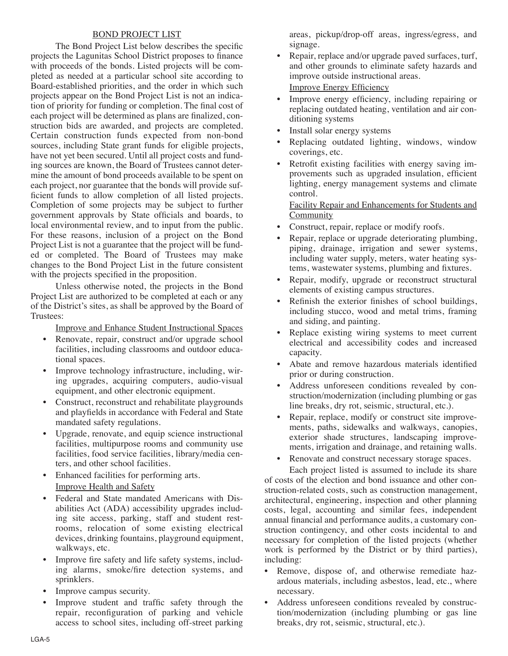## BOND PROJECT LIST

 The Bond Project List below describes the specific projects the Lagunitas School District proposes to finance with proceeds of the bonds. Listed projects will be completed as needed at a particular school site according to Board-established priorities, and the order in which such projects appear on the Bond Project List is not an indication of priority for funding or completion. The final cost of each project will be determined as plans are finalized, construction bids are awarded, and projects are completed. Certain construction funds expected from non-bond sources, including State grant funds for eligible projects, have not yet been secured. Until all project costs and funding sources are known, the Board of Trustees cannot determine the amount of bond proceeds available to be spent on each project, nor guarantee that the bonds will provide sufficient funds to allow completion of all listed projects. Completion of some projects may be subject to further government approvals by State officials and boards, to local environmental review, and to input from the public. For these reasons, inclusion of a project on the Bond Project List is not a guarantee that the project will be funded or completed. The Board of Trustees may make changes to the Bond Project List in the future consistent with the projects specified in the proposition.

 Unless otherwise noted, the projects in the Bond Project List are authorized to be completed at each or any of the District's sites, as shall be approved by the Board of Trustees:

Improve and Enhance Student Instructional Spaces

- Renovate, repair, construct and/or upgrade school facilities, including classrooms and outdoor educational spaces.
- Improve technology infrastructure, including, wiring upgrades, acquiring computers, audio-visual equipment, and other electronic equipment.
- Construct, reconstruct and rehabilitate playgrounds and playfields in accordance with Federal and State mandated safety regulations.
- Upgrade, renovate, and equip science instructional facilities, multipurpose rooms and community use facilities, food service facilities, library/media centers, and other school facilities.
- Enhanced facilities for performing arts. Improve Health and Safety
- Federal and State mandated Americans with Disabilities Act (ADA) accessibility upgrades including site access, parking, staff and student restrooms, relocation of some existing electrical devices, drinking fountains, playground equipment, walkways, etc.
- Improve fire safety and life safety systems, including alarms, smoke/fire detection systems, and sprinklers.
- Improve campus security.
- Improve student and traffic safety through the repair, reconfiguration of parking and vehicle access to school sites, including off-street parking

areas, pickup/drop-off areas, ingress/egress, and signage.

Repair, replace and/or upgrade paved surfaces, turf, and other grounds to eliminate safety hazards and improve outside instructional areas.

Improve Energy Efficiency

- Improve energy efficiency, including repairing or replacing outdated heating, ventilation and air conditioning systems
- Install solar energy systems
- Replacing outdated lighting, windows, window coverings, etc.
- Retrofit existing facilities with energy saving improvements such as upgraded insulation, efficient lighting, energy management systems and climate control.

 Facility Repair and Enhancements for Students and Community

- Construct, repair, replace or modify roofs.
- Repair, replace or upgrade deteriorating plumbing, piping, drainage, irrigation and sewer systems, including water supply, meters, water heating systems, wastewater systems, plumbing and fixtures.
- Repair, modify, upgrade or reconstruct structural elements of existing campus structures.
- Refinish the exterior finishes of school buildings, including stucco, wood and metal trims, framing and siding, and painting.
- Replace existing wiring systems to meet current electrical and accessibility codes and increased capacity.
- Abate and remove hazardous materials identified prior or during construction.
- Address unforeseen conditions revealed by construction/modernization (including plumbing or gas line breaks, dry rot, seismic, structural, etc.).
- Repair, replace, modify or construct site improvements, paths, sidewalks and walkways, canopies, exterior shade structures, landscaping improvements, irrigation and drainage, and retaining walls.
- Renovate and construct necessary storage spaces.

 Each project listed is assumed to include its share of costs of the election and bond issuance and other construction-related costs, such as construction management, architectural, engineering, inspection and other planning costs, legal, accounting and similar fees, independent annual financial and performance audits, a customary construction contingency, and other costs incidental to and necessary for completion of the listed projects (whether work is performed by the District or by third parties), including:

- Remove, dispose of, and otherwise remediate hazardous materials, including asbestos, lead, etc., where necessary.
- Address unforeseen conditions revealed by construction/modernization (including plumbing or gas line breaks, dry rot, seismic, structural, etc.).